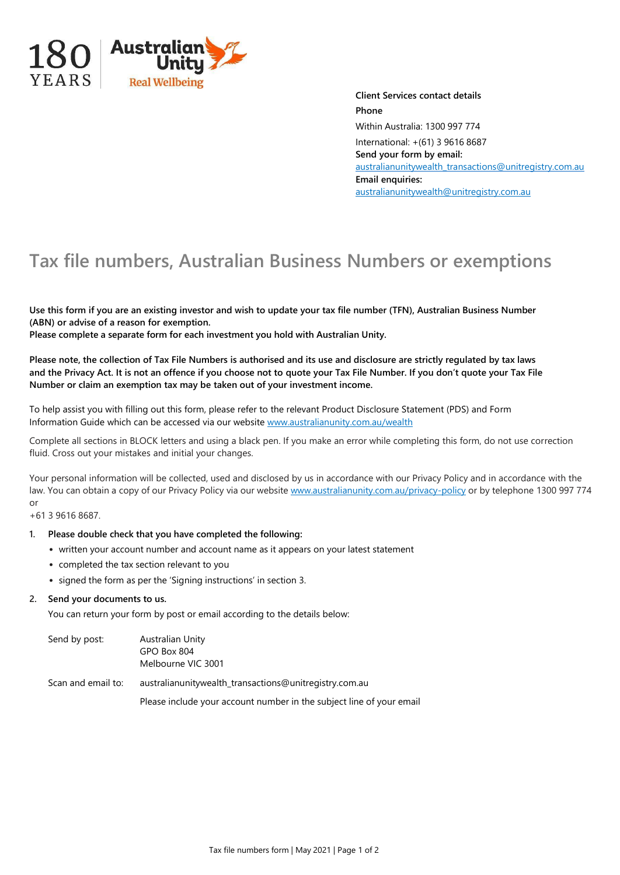

**Client Services contact details Phone** Within Australia: 1300 997 774 International: +(61) 3 9616 8687 **Send your form by email:** [australianunitywealth\\_transactions@unitregistry.com.au](mailto:australianunitywealth_transactions@unitregistry.com.au) **Email enquiries:** [australianunitywealth@unitregistry.com.au](mailto:australianunitywealth@unitregistry.com.au)

## **Tax file numbers, Australian Business Numbers or exemptions**

**Use this form if you are an existing investor and wish to update your tax file number (TFN), Australian Business Number (ABN) or advise of a reason for exemption.**

**Please complete a separate form for each investment you hold with Australian Unity.**

**Please note, the collection of Tax File Numbers is authorised and its use and disclosure are strictly regulated by tax laws and the Privacy Act. It is not an offence if you choose not to quote your Tax File Number. If you don't quote your Tax File Number or claim an exemption tax may be taken out of your investment income.**

To help assist you with filling out this form, please refer to the relevant Product Disclosure Statement (PDS) and Form Information Guide which can be accessed via our website www.australianunity.com.au/wealth

Complete all sections in BLOCK letters and using a black pen. If you make an error while completing this form, do not use correction fluid. Cross out your mistakes and initial your changes.

Your personal information will be collected, used and disclosed by us in accordance with our Privacy Policy and in accordance with the law. You can obtain a copy of our Privacy Policy via our website www.australianunity.com.au/privacy-policy or by telephone 1300 997 774 or

+61 3 9616 8687.

## **1. Please double check that you have completed the following:**

- written your account number and account name as it appears on your latest statement
- completed the tax section relevant to you
- signed the form as per the 'Signing instructions' in section 3.

## **2. Send your documents to us.**

You can return your form by post or email according to the details below:

| Send by post:      | Australian Unity<br>GPO Box 804<br>Melbourne VIC 3001                |
|--------------------|----------------------------------------------------------------------|
| Scan and email to: | australianunitywealth_transactions@unitregistry.com.au               |
|                    | Please include your account number in the subject line of your email |